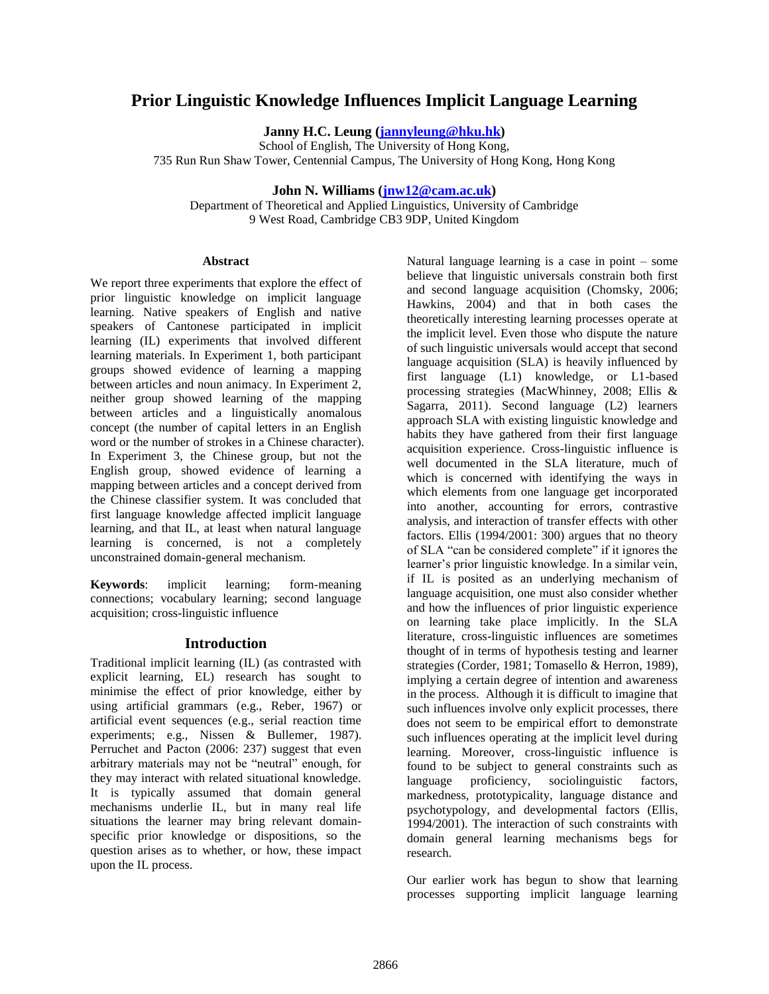# **Prior Linguistic Knowledge Influences Implicit Language Learning**

**Janny H.C. Leung [\(jannyleung@hku.hk\)](mailto:jannyleung@hku.hk)**

School of English, The University of Hong Kong, 735 Run Run Shaw Tower, Centennial Campus, The University of Hong Kong, Hong Kong

# **John N. Williams [\(jnw12@cam.ac.uk\)](mailto:jnw12@cam.ac.uk)**

Department of Theoretical and Applied Linguistics, University of Cambridge 9 West Road, Cambridge CB3 9DP, United Kingdom

#### **Abstract**

We report three experiments that explore the effect of prior linguistic knowledge on implicit language learning. Native speakers of English and native speakers of Cantonese participated in implicit learning (IL) experiments that involved different learning materials. In Experiment 1, both participant groups showed evidence of learning a mapping between articles and noun animacy. In Experiment 2, neither group showed learning of the mapping between articles and a linguistically anomalous concept (the number of capital letters in an English word or the number of strokes in a Chinese character). In Experiment 3, the Chinese group, but not the English group, showed evidence of learning a mapping between articles and a concept derived from the Chinese classifier system. It was concluded that first language knowledge affected implicit language learning, and that IL, at least when natural language learning is concerned, is not a completely unconstrained domain-general mechanism.

**Keywords**: implicit learning; form-meaning connections; vocabulary learning; second language acquisition; cross-linguistic influence

## **Introduction**

Traditional implicit learning (IL) (as contrasted with explicit learning, EL) research has sought to minimise the effect of prior knowledge, either by using artificial grammars (e.g., Reber, 1967) or artificial event sequences (e.g., serial reaction time experiments; e.g., Nissen & Bullemer, 1987). Perruchet and Pacton (2006: 237) suggest that even arbitrary materials may not be "neutral" enough, for they may interact with related situational knowledge. It is typically assumed that domain general mechanisms underlie IL, but in many real life situations the learner may bring relevant domainspecific prior knowledge or dispositions, so the question arises as to whether, or how, these impact upon the IL process.

Natural language learning is a case in point – some believe that linguistic universals constrain both first and second language acquisition (Chomsky, 2006; Hawkins, 2004) and that in both cases the theoretically interesting learning processes operate at the implicit level. Even those who dispute the nature of such linguistic universals would accept that second language acquisition (SLA) is heavily influenced by first language (L1) knowledge, or L1-based processing strategies (MacWhinney, 2008; Ellis & Sagarra, 2011). Second language (L2) learners approach SLA with existing linguistic knowledge and habits they have gathered from their first language acquisition experience. Cross-linguistic influence is well documented in the SLA literature, much of which is concerned with identifying the ways in which elements from one language get incorporated into another, accounting for errors, contrastive analysis, and interaction of transfer effects with other factors. Ellis (1994/2001: 300) argues that no theory of SLA "can be considered complete" if it ignores the learner's prior linguistic knowledge. In a similar vein, if IL is posited as an underlying mechanism of language acquisition, one must also consider whether and how the influences of prior linguistic experience on learning take place implicitly. In the SLA literature, cross-linguistic influences are sometimes thought of in terms of hypothesis testing and learner strategies (Corder, 1981; Tomasello & Herron, 1989), implying a certain degree of intention and awareness in the process. Although it is difficult to imagine that such influences involve only explicit processes, there does not seem to be empirical effort to demonstrate such influences operating at the implicit level during learning. Moreover, cross-linguistic influence is found to be subject to general constraints such as language proficiency, sociolinguistic factors, markedness, prototypicality, language distance and psychotypology, and developmental factors (Ellis, 1994/2001). The interaction of such constraints with domain general learning mechanisms begs for research.

Our earlier work has begun to show that learning processes supporting implicit language learning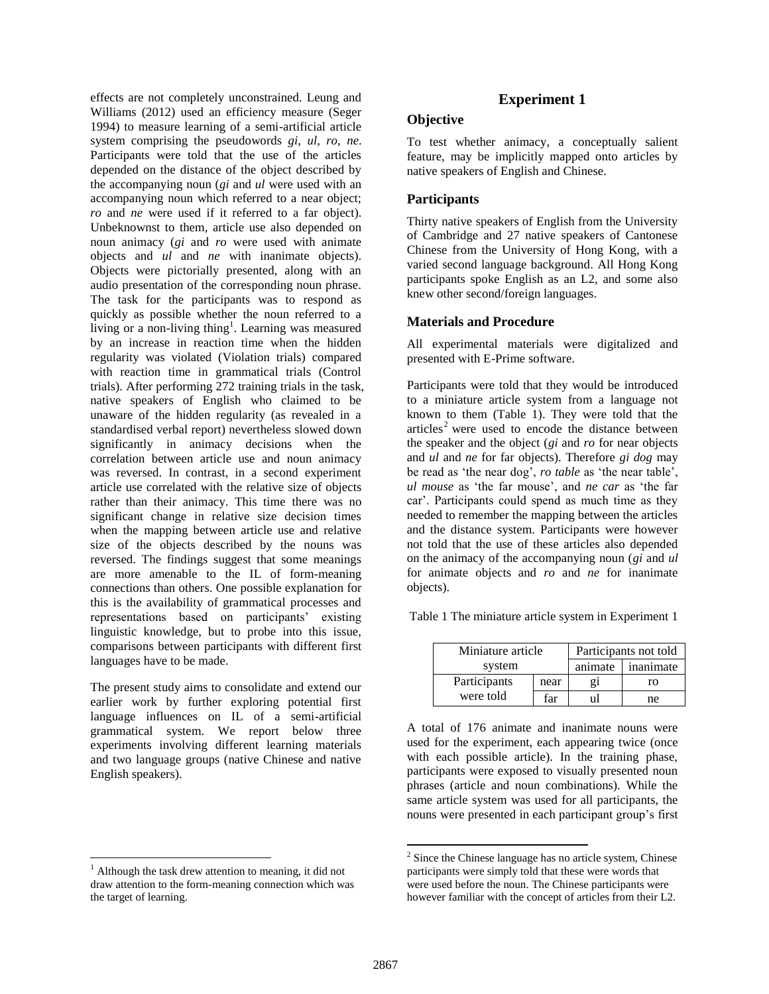effects are not completely unconstrained. Leung and Williams (2012) used an efficiency measure (Seger 1994) to measure learning of a semi-artificial article system comprising the pseudowords *gi*, *ul*, *ro*, *ne*. Participants were told that the use of the articles depended on the distance of the object described by the accompanying noun (*gi* and *ul* were used with an accompanying noun which referred to a near object; *ro* and *ne* were used if it referred to a far object). Unbeknownst to them, article use also depended on noun animacy (*gi* and *ro* were used with animate objects and *ul* and *ne* with inanimate objects). Objects were pictorially presented, along with an audio presentation of the corresponding noun phrase. The task for the participants was to respond as quickly as possible whether the noun referred to a living or a non-living thing<sup>1</sup>. Learning was measured by an increase in reaction time when the hidden regularity was violated (Violation trials) compared with reaction time in grammatical trials (Control trials). After performing 272 training trials in the task, native speakers of English who claimed to be unaware of the hidden regularity (as revealed in a standardised verbal report) nevertheless slowed down significantly in animacy decisions when the correlation between article use and noun animacy was reversed. In contrast, in a second experiment article use correlated with the relative size of objects rather than their animacy. This time there was no significant change in relative size decision times when the mapping between article use and relative size of the objects described by the nouns was reversed. The findings suggest that some meanings are more amenable to the IL of form-meaning connections than others. One possible explanation for this is the availability of grammatical processes and representations based on participants' existing linguistic knowledge, but to probe into this issue, comparisons between participants with different first languages have to be made.

The present study aims to consolidate and extend our earlier work by further exploring potential first language influences on IL of a semi-artificial grammatical system. We report below three experiments involving different learning materials and two language groups (native Chinese and native English speakers).

l

# **Experiment 1**

#### **Objective**

To test whether animacy, a conceptually salient feature, may be implicitly mapped onto articles by native speakers of English and Chinese.

#### **Participants**

Thirty native speakers of English from the University of Cambridge and 27 native speakers of Cantonese Chinese from the University of Hong Kong, with a varied second language background. All Hong Kong participants spoke English as an L2, and some also knew other second/foreign languages.

#### **Materials and Procedure**

All experimental materials were digitalized and presented with E-Prime software.

Participants were told that they would be introduced to a miniature article system from a language not known to them (Table 1). They were told that the  $arrices<sup>2</sup> were used to encode the distance between$ the speaker and the object (*gi* and *ro* for near objects and *ul* and *ne* for far objects). Therefore *gi dog* may be read as 'the near dog', *ro table* as 'the near table', *ul mouse* as 'the far mouse', and *ne car* as 'the far car'. Participants could spend as much time as they needed to remember the mapping between the articles and the distance system. Participants were however not told that the use of these articles also depended on the animacy of the accompanying noun (*gi* and *ul* for animate objects and *ro* and *ne* for inanimate objects).

Table 1 The miniature article system in Experiment 1

| Miniature article |      | Participants not told |           |  |  |
|-------------------|------|-----------------------|-----------|--|--|
| system            |      | animate               | inanimate |  |  |
| Participants      | near | 21                    | ro        |  |  |
| were told         | far  | սե                    | ne        |  |  |

A total of 176 animate and inanimate nouns were used for the experiment, each appearing twice (once with each possible article). In the training phase, participants were exposed to visually presented noun phrases (article and noun combinations). While the same article system was used for all participants, the nouns were presented in each participant group's first

 $\overline{\phantom{a}}$ 

 $<sup>1</sup>$  Although the task drew attention to meaning, it did not</sup> draw attention to the form-meaning connection which was the target of learning.

 $2^2$  Since the Chinese language has no article system, Chinese participants were simply told that these were words that were used before the noun. The Chinese participants were however familiar with the concept of articles from their L2.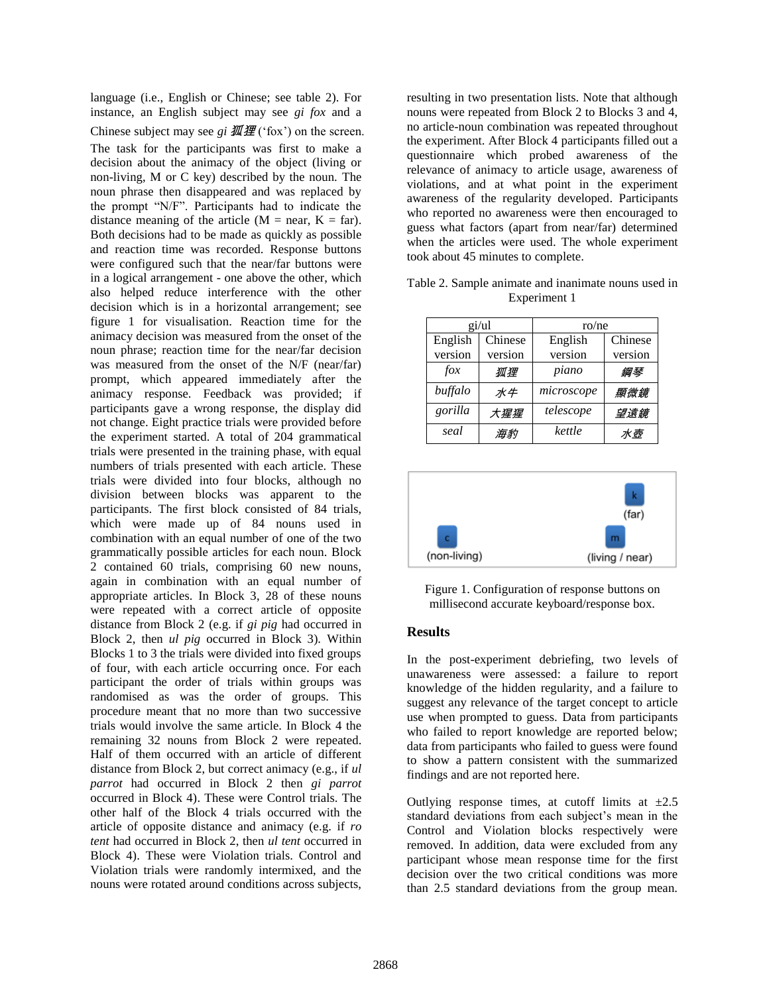language (i.e., English or Chinese; see table 2). For instance, an English subject may see *gi fox* and a Chinese subject may see *gi*  $M \mathcal{H}$  ('fox') on the screen. The task for the participants was first to make a decision about the animacy of the object (living or non-living, M or C key) described by the noun. The noun phrase then disappeared and was replaced by the prompt "N/F". Participants had to indicate the distance meaning of the article ( $M = near$ ,  $K = far$ ). Both decisions had to be made as quickly as possible and reaction time was recorded. Response buttons were configured such that the near/far buttons were in a logical arrangement - one above the other, which also helped reduce interference with the other decision which is in a horizontal arrangement; see figure 1 for visualisation. Reaction time for the animacy decision was measured from the onset of the noun phrase; reaction time for the near/far decision was measured from the onset of the N/F (near/far) prompt, which appeared immediately after the animacy response. Feedback was provided; if participants gave a wrong response, the display did not change. Eight practice trials were provided before the experiment started. A total of 204 grammatical trials were presented in the training phase, with equal numbers of trials presented with each article. These trials were divided into four blocks, although no division between blocks was apparent to the participants. The first block consisted of 84 trials, which were made up of 84 nouns used in combination with an equal number of one of the two grammatically possible articles for each noun. Block 2 contained 60 trials, comprising 60 new nouns, again in combination with an equal number of appropriate articles. In Block 3, 28 of these nouns were repeated with a correct article of opposite distance from Block 2 (e.g. if *gi pig* had occurred in Block 2, then *ul pig* occurred in Block 3). Within Blocks 1 to 3 the trials were divided into fixed groups of four, with each article occurring once. For each participant the order of trials within groups was randomised as was the order of groups. This procedure meant that no more than two successive trials would involve the same article. In Block 4 the remaining 32 nouns from Block 2 were repeated. Half of them occurred with an article of different distance from Block 2, but correct animacy (e.g., if *ul parrot* had occurred in Block 2 then *gi parrot* occurred in Block 4). These were Control trials. The other half of the Block 4 trials occurred with the article of opposite distance and animacy (e.g. if *ro tent* had occurred in Block 2, then *ul tent* occurred in Block 4). These were Violation trials. Control and Violation trials were randomly intermixed, and the nouns were rotated around conditions across subjects,

resulting in two presentation lists. Note that although nouns were repeated from Block 2 to Blocks 3 and 4, no article-noun combination was repeated throughout the experiment. After Block 4 participants filled out a questionnaire which probed awareness of the relevance of animacy to article usage, awareness of violations, and at what point in the experiment awareness of the regularity developed. Participants who reported no awareness were then encouraged to guess what factors (apart from near/far) determined when the articles were used. The whole experiment took about 45 minutes to complete.

|             | gi/ul   | ro/ne      |         |
|-------------|---------|------------|---------|
| English     | Chinese | English    | Chinese |
| version     | version | version    | version |
| $f \circ x$ | 狐狸      | piano      | 鋼琴      |
| buffalo     | 水牛      | microscope | 顯微鏡     |
| gorilla     | 大猩猩     | telescope  | 望遠鏡     |
| seal        | 海豹      | kettle     | 水壺      |

Table 2. Sample animate and inanimate nouns used in Experiment 1



Figure 1. Configuration of response buttons on millisecond accurate keyboard/response box.

## **Results**

In the post-experiment debriefing, two levels of unawareness were assessed: a failure to report knowledge of the hidden regularity, and a failure to suggest any relevance of the target concept to article use when prompted to guess. Data from participants who failed to report knowledge are reported below; data from participants who failed to guess were found to show a pattern consistent with the summarized findings and are not reported here.

Outlying response times, at cutoff limits at  $\pm 2.5$ standard deviations from each subject's mean in the Control and Violation blocks respectively were removed. In addition, data were excluded from any participant whose mean response time for the first decision over the two critical conditions was more than 2.5 standard deviations from the group mean.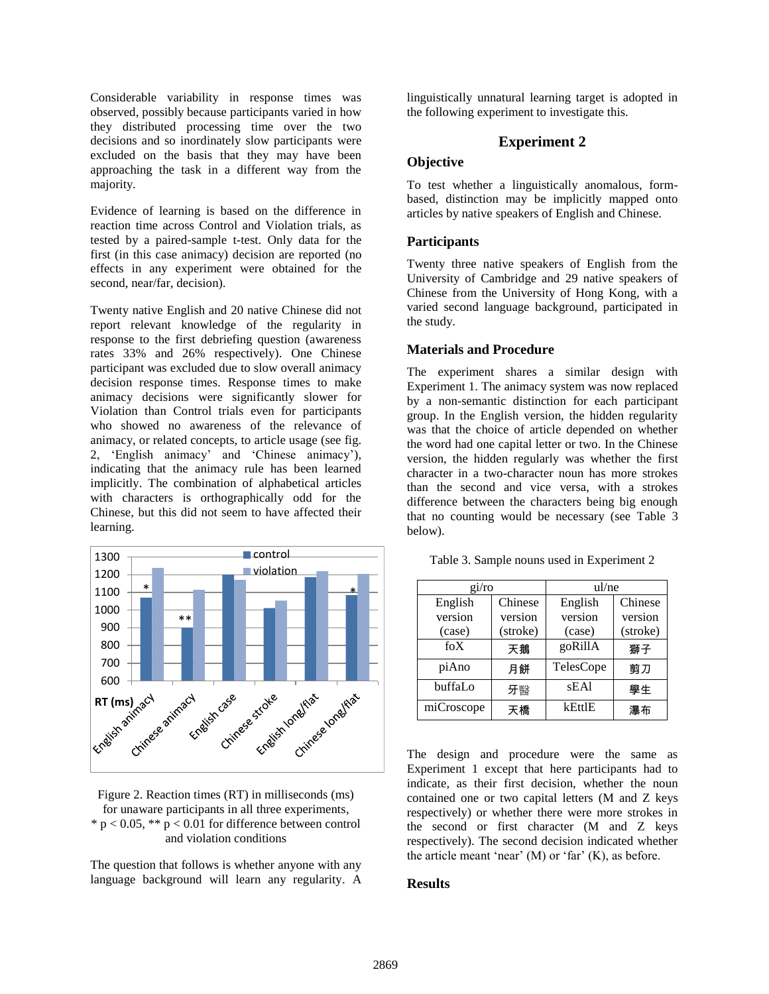Considerable variability in response times was observed, possibly because participants varied in how they distributed processing time over the two decisions and so inordinately slow participants were excluded on the basis that they may have been approaching the task in a different way from the majority.

Evidence of learning is based on the difference in reaction time across Control and Violation trials, as tested by a paired-sample t-test. Only data for the first (in this case animacy) decision are reported (no effects in any experiment were obtained for the second, near/far, decision).

Twenty native English and 20 native Chinese did not report relevant knowledge of the regularity in response to the first debriefing question (awareness rates 33% and 26% respectively). One Chinese participant was excluded due to slow overall animacy decision response times. Response times to make animacy decisions were significantly slower for Violation than Control trials even for participants who showed no awareness of the relevance of animacy, or related concepts, to article usage (see fig. 2, 'English animacy' and 'Chinese animacy'), indicating that the animacy rule has been learned implicitly. The combination of alphabetical articles with characters is orthographically odd for the Chinese, but this did not seem to have affected their learning.



Figure 2. Reaction times (RT) in milliseconds (ms) for unaware participants in all three experiments, \*  $p < 0.05$ , \*\*  $p < 0.01$  for difference between control and violation conditions

The question that follows is whether anyone with any language background will learn any regularity. A linguistically unnatural learning target is adopted in the following experiment to investigate this.

# **Experiment 2**

# **Objective**

To test whether a linguistically anomalous, formbased, distinction may be implicitly mapped onto articles by native speakers of English and Chinese.

## **Participants**

Twenty three native speakers of English from the University of Cambridge and 29 native speakers of Chinese from the University of Hong Kong, with a varied second language background, participated in the study.

#### **Materials and Procedure**

The experiment shares a similar design with Experiment 1. The animacy system was now replaced by a non-semantic distinction for each participant group. In the English version, the hidden regularity was that the choice of article depended on whether the word had one capital letter or two. In the Chinese version, the hidden regularly was whether the first character in a two-character noun has more strokes than the second and vice versa, with a strokes difference between the characters being big enough that no counting would be necessary (see Table 3 below).

|  |  |  | Table 3. Sample nouns used in Experiment 2 |
|--|--|--|--------------------------------------------|
|--|--|--|--------------------------------------------|

| gi/ro      |          | ul/ne     |          |  |
|------------|----------|-----------|----------|--|
| English    | Chinese  | English   | Chinese  |  |
| version    | version  | version   | version  |  |
| (case)     | (stroke) | (case)    | (stroke) |  |
| $f_0X$     | 天鵝       | goRillA   | 獅子       |  |
| piAno      | 月餅       | TelesCope | 剪刀       |  |
| buffaLo    | 牙醫       | sEA1      | 學生       |  |
| miCroscope | 天橋       | kEttlE    | 瀑布       |  |

The design and procedure were the same as Experiment 1 except that here participants had to indicate, as their first decision, whether the noun contained one or two capital letters (M and Z keys respectively) or whether there were more strokes in the second or first character (M and Z keys respectively). The second decision indicated whether the article meant 'near'  $(M)$  or 'far'  $(K)$ , as before.

## **Results**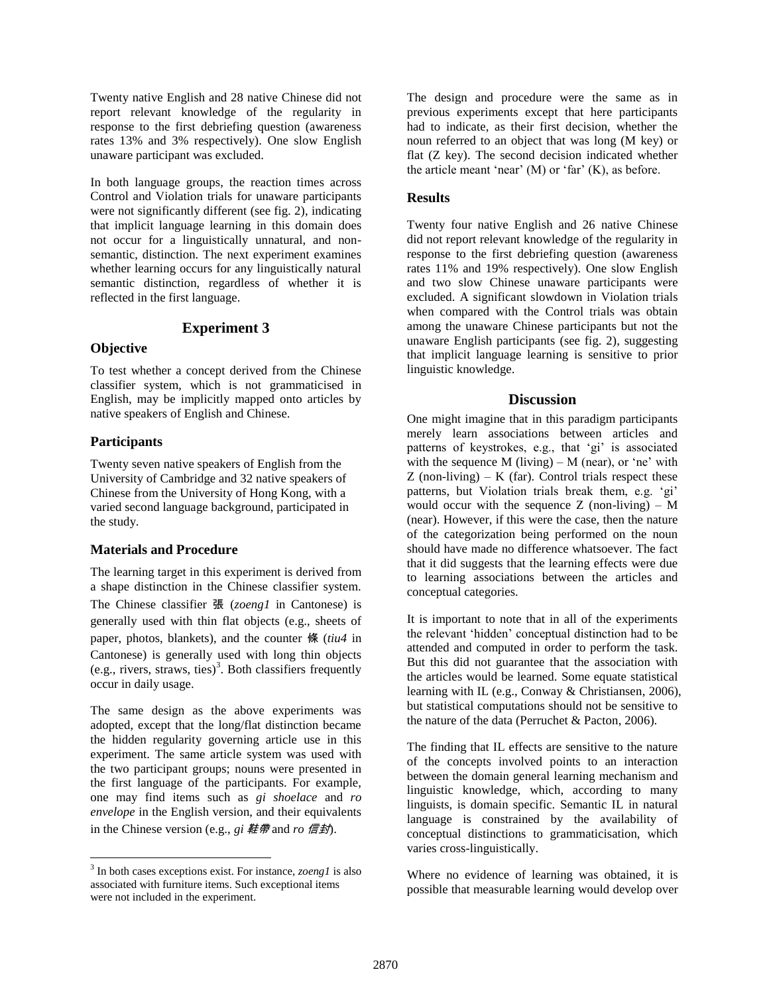Twenty native English and 28 native Chinese did not report relevant knowledge of the regularity in response to the first debriefing question (awareness rates 13% and 3% respectively). One slow English unaware participant was excluded.

In both language groups, the reaction times across Control and Violation trials for unaware participants were not significantly different (see fig. 2), indicating that implicit language learning in this domain does not occur for a linguistically unnatural, and nonsemantic, distinction. The next experiment examines whether learning occurs for any linguistically natural semantic distinction, regardless of whether it is reflected in the first language.

## **Experiment 3**

#### **Objective**

To test whether a concept derived from the Chinese classifier system, which is not grammaticised in English, may be implicitly mapped onto articles by native speakers of English and Chinese.

# **Participants**

l

Twenty seven native speakers of English from the University of Cambridge and 32 native speakers of Chinese from the University of Hong Kong, with a varied second language background, participated in the study.

## **Materials and Procedure**

The learning target in this experiment is derived from a shape distinction in the Chinese classifier system. The Chinese classifier 張 (*zoeng1* in Cantonese) is generally used with thin flat objects (e.g., sheets of paper, photos, blankets), and the counter 條 (*tiu4* in Cantonese) is generally used with long thin objects (e.g., rivers, straws, ties)<sup>3</sup>. Both classifiers frequently occur in daily usage.

The same design as the above experiments was adopted, except that the long/flat distinction became the hidden regularity governing article use in this experiment. The same article system was used with the two participant groups; nouns were presented in the first language of the participants. For example, one may find items such as *gi shoelace* and *ro envelope* in the English version, and their equivalents in the Chinese version (e.g., *gi* 鞋帶 and *ro* 信封).

The design and procedure were the same as in previous experiments except that here participants had to indicate, as their first decision, whether the noun referred to an object that was long (M key) or flat (Z key). The second decision indicated whether the article meant 'near'  $(M)$  or 'far'  $(K)$ , as before.

# **Results**

Twenty four native English and 26 native Chinese did not report relevant knowledge of the regularity in response to the first debriefing question (awareness rates 11% and 19% respectively). One slow English and two slow Chinese unaware participants were excluded. A significant slowdown in Violation trials when compared with the Control trials was obtain among the unaware Chinese participants but not the unaware English participants (see fig. 2), suggesting that implicit language learning is sensitive to prior linguistic knowledge.

# **Discussion**

One might imagine that in this paradigm participants merely learn associations between articles and patterns of keystrokes, e.g., that 'gi' is associated with the sequence  $M$  (living) –  $M$  (near), or 'ne' with  $Z$  (non-living) – K (far). Control trials respect these patterns, but Violation trials break them, e.g. 'gi' would occur with the sequence  $Z$  (non-living) – M (near). However, if this were the case, then the nature of the categorization being performed on the noun should have made no difference whatsoever. The fact that it did suggests that the learning effects were due to learning associations between the articles and conceptual categories.

It is important to note that in all of the experiments the relevant 'hidden' conceptual distinction had to be attended and computed in order to perform the task. But this did not guarantee that the association with the articles would be learned. Some equate statistical learning with IL (e.g., Conway & Christiansen, 2006), but statistical computations should not be sensitive to the nature of the data (Perruchet & Pacton, 2006).

The finding that IL effects are sensitive to the nature of the concepts involved points to an interaction between the domain general learning mechanism and linguistic knowledge, which, according to many linguists, is domain specific. Semantic IL in natural language is constrained by the availability of conceptual distinctions to grammaticisation, which varies cross-linguistically.

Where no evidence of learning was obtained, it is possible that measurable learning would develop over

<sup>3</sup> In both cases exceptions exist. For instance, *zoeng1* is also associated with furniture items. Such exceptional items were not included in the experiment.